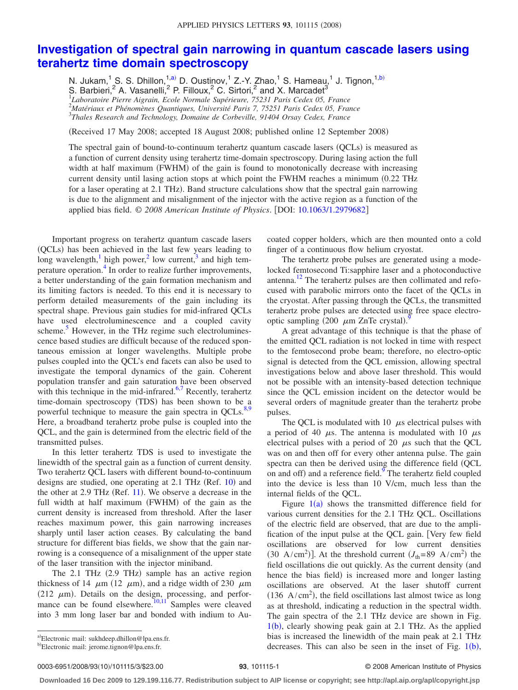## **[Investigation of spectral gain narrowing in quantum cascade lasers using](http://dx.doi.org/10.1063/1.2979682) [terahertz time domain spectroscopy](http://dx.doi.org/10.1063/1.2979682)**

N. Jukam,<sup>1</sup> S. S. Dhillon,<sup>1[,a](#page-0-0))</sup> D. Oustinov,<sup>1</sup> Z.-Y. Zhao,<sup>1</sup> S. Hameau,<sup>1</sup> J. Tignon,<sup>1[,b](#page-0-1))</sup>

S. Barbieri,<sup>2</sup> A. Vasanelli,<sup>2</sup> P. Filloux,<sup>2</sup> C. Sirtori,<sup>2</sup> and X. Marcadet<sup>3</sup><br><sup>1</sup>Laboratoire Pierre Aigrain, Ecole Normale Supérieure, 75231 Paris Cedex 05, France

2 *Matériaux et Phénomènes Quantiques, Université Paris 7, 75251 Paris Cedex 05, France* 3 *Thales Research and Technology, Domaine de Corbeville, 91404 Orsay Cedex, France*

Received 17 May 2008; accepted 18 August 2008; published online 12 September 2008-

The spectral gain of bound-to-continuum terahertz quantum cascade lasers (QCLs) is measured as a function of current density using terahertz time-domain spectroscopy. During lasing action the full width at half maximum (FWHM) of the gain is found to monotonically decrease with increasing current density until lasing action stops at which point the FWHM reaches a minimum  $(0.22 \text{ THz})$ for a laser operating at 2.1 THz). Band structure calculations show that the spectral gain narrowing is due to the alignment and misalignment of the injector with the active region as a function of the applied bias field. © 2008 American Institute of Physics. [DOI: [10.1063/1.2979682](http://dx.doi.org/10.1063/1.2979682)]

Important progress on terahertz quantum cascade lasers (QCLs) has been achieved in the last few years leading to long wavelength, $\frac{1}{1}$  high power, $\frac{2}{1}$  low current, $\frac{3}{1}$  and high temperature operation[.4](#page-2-3) In order to realize further improvements, a better understanding of the gain formation mechanism and its limiting factors is needed. To this end it is necessary to perform detailed measurements of the gain including its spectral shape. Previous gain studies for mid-infrared QCLs have used electroluminescence and a coupled cavity scheme.<sup>3</sup> However, in the THz regime such electroluminescence based studies are difficult because of the reduced spontaneous emission at longer wavelengths. Multiple probe pulses coupled into the QCL's end facets can also be used to investigate the temporal dynamics of the gain. Coherent population transfer and gain saturation have been observed with this technique in the mid-infrared. $6,7$  $6,7$  Recently, terahertz time-domain spectroscopy (TDS) has been shown to be a powerful technique to measure the gain spectra in  $QCLs$ .<sup>8,[9](#page-2-8)</sup> Here, a broadband terahertz probe pulse is coupled into the QCL, and the gain is determined from the electric field of the transmitted pulses.

In this letter terahertz TDS is used to investigate the linewidth of the spectral gain as a function of current density. Two terahertz QCL lasers with different bound-to-continuum designs are studied, one operating at 2.1 THz (Ref. [10](#page-2-9)) and the other at  $2.9$  THz (Ref. [11](#page-2-10)). We observe a decrease in the full width at half maximum (FWHM) of the gain as the current density is increased from threshold. After the laser reaches maximum power, this gain narrowing increases sharply until laser action ceases. By calculating the band structure for different bias fields, we show that the gain narrowing is a consequence of a misalignment of the upper state of the laser transition with the injector miniband.

The 2.1 THz (2.9 THz) sample has an active region thickness of 14  $\mu$ m (12  $\mu$ m), and a ridge width of 230  $\mu$ m (212  $\mu$ m). Details on the design, processing, and perfor-mance can be found elsewhere.<sup>10,[11](#page-2-10)</sup> Samples were cleaved into 3 mm long laser bar and bonded with indium to Au-

<span id="page-0-1"></span><span id="page-0-0"></span>a)Electronic mail: sukhdeep.dhillon@lpa.ens.fr.

coated copper holders, which are then mounted onto a cold finger of a continuous flow helium cryostat.

The terahertz probe pulses are generated using a modelocked femtosecond Ti:sapphire laser and a photoconductive antenna[.12](#page-2-11) The terahertz pulses are then collimated and refocused with parabolic mirrors onto the facet of the QCLs in the cryostat. After passing through the QCLs, the transmitted terahertz probe pulses are detected using free space electrooptic sampling  $(200 \mu m ZnTe$  crystal).

A great advantage of this technique is that the phase of the emitted QCL radiation is not locked in time with respect to the femtosecond probe beam; therefore, no electro-optic signal is detected from the QCL emission, allowing spectral investigations below and above laser threshold. This would not be possible with an intensity-based detection technique since the QCL emission incident on the detector would be several orders of magnitude greater than the terahertz probe pulses.

The QCL is modulated with 10  $\mu$ s electrical pulses with a period of 40  $\mu$ s. The antenna is modulated with 10  $\mu$ s electrical pulses with a period of 20  $\mu$ s such that the QCL was on and then off for every other antenna pulse. The gain spectra can then be derived using the difference field QCL on and off) and a reference field.<sup>9</sup> The terahertz field coupled into the device is less than 10 V/cm, much less than the internal fields of the QCL.

Figure  $1(a)$  $1(a)$  shows the transmitted difference field for various current densities for the 2.1 THz QCL. Oscillations of the electric field are observed, that are due to the amplification of the input pulse at the QCL gain. [Very few field oscillations are observed for low current densities (30 A/cm<sup>2</sup>)]. At the threshold current  $(J_{th}=89 \text{ A/cm}^2)$  the field oscillations die out quickly. As the current density (and hence the bias field) is increased more and longer lasting oscillations are observed. At the laser shutoff current  $(136 \text{ A/cm}^2)$ , the field oscillations last almost twice as long as at threshold, indicating a reduction in the spectral width. The gain spectra of the 2.1 THz device are shown in Fig.  $1(b)$  $1(b)$ , clearly showing peak gain at 2.1 THz. As the applied bias is increased the linewidth of the main peak at 2.1 THz decreases. This can also be seen in the inset of Fig.  $1(b)$  $1(b)$ ,

0003-6951/2008/93(10)/101115/3/\$23.00

**Downloaded 16 Dec 2009 to 129.199.116.77. Redistribution subject to AIP license or copyright; see http://apl.aip.org/apl/copyright.jsp**

b)Electronic mail: jerome.tignon@lpa.ens.fr.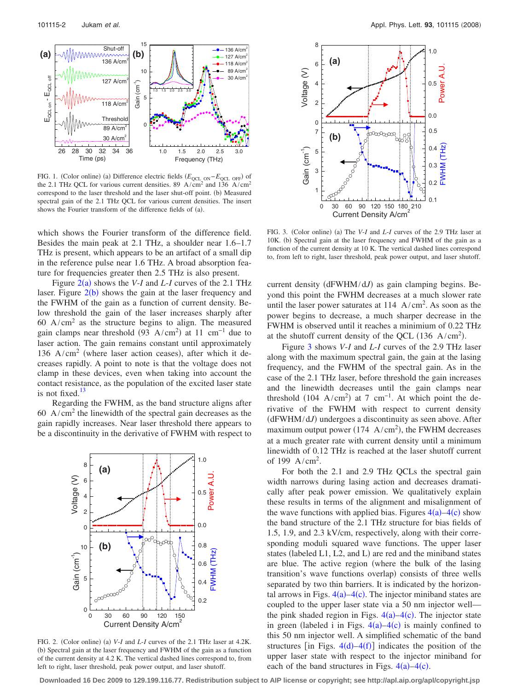<span id="page-1-0"></span>

FIG. 1. (Color online) (a) Difference electric fields (*E*<sub>QCL ON</sub>−*E*<sub>QCL OFF</sub>) of the 2.1 THz QCL for various current densities. 89 A/cm<sup>2</sup> and 136 A/cm<sup>2</sup> correspond to the laser threshold and the laser shut-off point. (b) Measured spectral gain of the 2.1 THz QCL for various current densities. The insert shows the Fourier transform of the difference fields of (a).

which shows the Fourier transform of the difference field. Besides the main peak at 2.1 THz, a shoulder near 1.6–1.7 THz is present, which appears to be an artifact of a small dip in the reference pulse near 1.6 THz. A broad absorption feature for frequencies greater then 2.5 THz is also present.

Figure  $2(a)$  $2(a)$  shows the *V-I* and *L-I* curves of the 2.1 THz laser. Figure  $2(b)$  $2(b)$  shows the gain at the laser frequency and the FWHM of the gain as a function of current density. Below threshold the gain of the laser increases sharply after 60 A/cm<sup>2</sup> as the structure begins to align. The measured gain clamps near threshold  $(93 \text{ A/cm}^2)$  at 11 cm<sup>-1</sup> due to laser action. The gain remains constant until approximately 136 A/cm<sup>2</sup> (where laser action ceases), after which it decreases rapidly. A point to note is that the voltage does not clamp in these devices, even when taking into account the contact resistance, as the population of the excited laser state is not fixed. $13$ 

<span id="page-1-1"></span>Regarding the FWHM, as the band structure aligns after 60  $A/cm<sup>2</sup>$  the linewidth of the spectral gain decreases as the gain rapidly increases. Near laser threshold there appears to be a discontinuity in the derivative of FWHM with respect to



FIG. 2. (Color online) (a) V-*I* and *L*-*I* curves of the 2.1 THz laser at 4.2K. (b) Spectral gain at the laser frequency and FWHM of the gain as a function of the current density at 4.2 K. The vertical dashed lines correspond to, from left to right, laser threshold, peak power output, and laser shutoff.

<span id="page-1-2"></span>

FIG. 3. (Color online) (a) The *V-I* and *L-I* curves of the 2.9 THz laser at 10K. (b) Spectral gain at the laser frequency and FWHM of the gain as a function of the current density at 10 K. The vertical dashed lines correspond to, from left to right, laser threshold, peak power output, and laser shutoff.

current density (dFWHM/dJ) as gain clamping begins. Beyond this point the FWHM decreases at a much slower rate until the laser power saturates at  $114 \text{ A/cm}^2$ . As soon as the power begins to decrease, a much sharper decrease in the FWHM is observed until it reaches a minimium of 0.22 THz at the shutoff current density of the QCL  $(136 \text{ A/cm}^2)$ .

Figure [3](#page-1-2) shows *V*-*I* and *L*-*I* curves of the 2.9 THz laser along with the maximum spectral gain, the gain at the lasing frequency, and the FWHM of the spectral gain. As in the case of the 2.1 THz laser, before threshold the gain increases and the linewidth decreases until the gain clamps near threshold  $(104 \text{ A/cm}^2)$  at 7 cm<sup>-1</sup>. At which point the derivative of the FWHM with respect to current density (dFWHM/dJ) undergoes a discontinuity as seen above. After maximum output power ( $174 \text{ A/cm}^2$ ), the FWHM decreases at a much greater rate with current density until a minimum linewidth of 0.12 THz is reached at the laser shutoff current of 199  $A/cm<sup>2</sup>$ .

For both the 2.1 and 2.9 THz QCLs the spectral gain width narrows during lasing action and decreases dramatically after peak power emission. We qualitatively explain these results in terms of the alignment and misalignment of the wave functions with applied bias. Figures  $4(a) - 4(c)$  $4(a) - 4(c)$  show the band structure of the 2.1 THz structure for bias fields of 1.5, 1.9, and 2.3 kV/cm, respectively, along with their corresponding moduli squared wave functions. The upper laser states (labeled L1, L2, and L) are red and the miniband states are blue. The active region (where the bulk of the lasing transition's wave functions overlap) consists of three wells separated by two thin barriers. It is indicated by the horizontal arrows in Figs.  $4(a) - 4(c)$  $4(a) - 4(c)$ . The injector miniband states are coupled to the upper laser state via a 50 nm injector well the pink shaded region in Figs.  $4(a) - 4(c)$  $4(a) - 4(c)$ . The injector state in green (labeled i in Figs.  $4(a) - 4(c)$  $4(a) - 4(c)$  is mainly confined to this 50 nm injector well. A simplified schematic of the band structures [in Figs.  $4(d) - 4(f)$  $4(d) - 4(f)$ ] indicates the position of the upper laser state with respect to the injector miniband for each of the band structures in Figs.  $4(a) - 4(c)$  $4(a) - 4(c)$ .

**Downloaded 16 Dec 2009 to 129.199.116.77. Redistribution subject to AIP license or copyright; see http://apl.aip.org/apl/copyright.jsp**